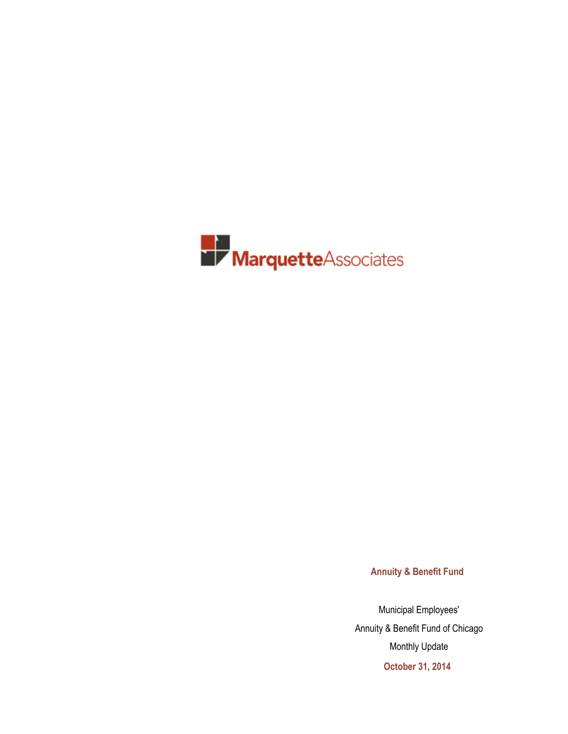

**Annuity & Benefit Fund**

Municipal Employees' Annuity & Benefit Fund of Chicago Monthly Update **October 31, 2014**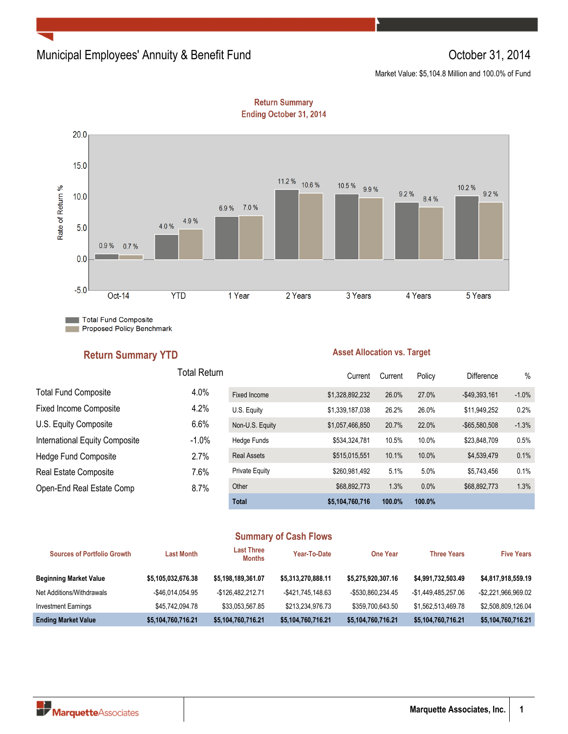## Municipal Employees' Annuity & Benefit Fund **Constanting Constanting Constanting Constanting Constanting Constanting Constanting Constanting Constanting Constanting Constanting Constanting Constanting Constanting Constanti**

Market Value: \$5,104.8 Million and 100.0% of Fund



**Return Summary** Ending October 31, 2014

**Total Fund Composite** Proposed Policy Benchmark

## **Return Summary YTD**

### **Asset Allocation vs. Target**

|                                | <b>Total Return</b> |                       | Current         | Current | Policy | <b>Difference</b> | $\%$    |
|--------------------------------|---------------------|-----------------------|-----------------|---------|--------|-------------------|---------|
| <b>Total Fund Composite</b>    | 4.0%                | Fixed Income          | \$1,328,892,232 | 26.0%   | 27.0%  | $-$49,393,161$    | $-1.0%$ |
| <b>Fixed Income Composite</b>  | 4.2%                | U.S. Equity           | \$1,339,187,038 | 26.2%   | 26.0%  | \$11,949,252      | 0.2%    |
| U.S. Equity Composite          | 6.6%                | Non-U.S. Equity       | \$1,057,466,850 | 20.7%   | 22.0%  | $-$ \$65,580,508  | $-1.3%$ |
| International Equity Composite | $-1.0\%$            | Hedge Funds           | \$534,324,781   | 10.5%   | 10.0%  | \$23,848,709      | 0.5%    |
| <b>Hedge Fund Composite</b>    | 2.7%                | <b>Real Assets</b>    | \$515,015,551   | 10.1%   | 10.0%  | \$4,539,479       | 0.1%    |
| Real Estate Composite          | 7.6%                | <b>Private Equity</b> | \$260,981,492   | 5.1%    | 5.0%   | \$5.743.456       | 0.1%    |
| Open-End Real Estate Comp      | 8.7%                | Other                 | \$68,892,773    | 1.3%    | 0.0%   | \$68,892,773      | 1.3%    |
|                                |                     | <b>Total</b>          | \$5,104,760,716 | 100.0%  | 100.0% |                   |         |

## **Summary of Cash Flows**

| <b>Sources of Portfolio Growth</b> | <b>Last Month</b>  | <b>Last Three</b><br><b>Months</b> | Year-To-Date       | <b>One Year</b>    | <b>Three Years</b>  | <b>Five Years</b>   |
|------------------------------------|--------------------|------------------------------------|--------------------|--------------------|---------------------|---------------------|
| <b>Beginning Market Value</b>      | \$5,105,032,676.38 | \$5,198,189,361.07                 | \$5,313,270,888.11 | \$5.275.920.307.16 | \$4,991,732,503.49  | \$4,817,918,559.19  |
| Net Additions/Withdrawals          | -\$46.014.054.95   | -\$126.482.212.71                  | -\$421.745.148.63  | -\$530.860.234.45  | -\$1.449.485.257.06 | -\$2.221.966.969.02 |
| <b>Investment Earnings</b>         | \$45,742,094.78    | \$33.053.567.85                    | \$213,234,976.73   | \$359.700.643.50   | \$1,562,513,469.78  | \$2,508.809.126.04  |
| <b>Ending Market Value</b>         | \$5,104,760,716.21 | \$5,104,760,716.21                 | \$5,104,760,716.21 | \$5,104,760,716.21 | \$5,104,760,716.21  | \$5,104,760,716.21  |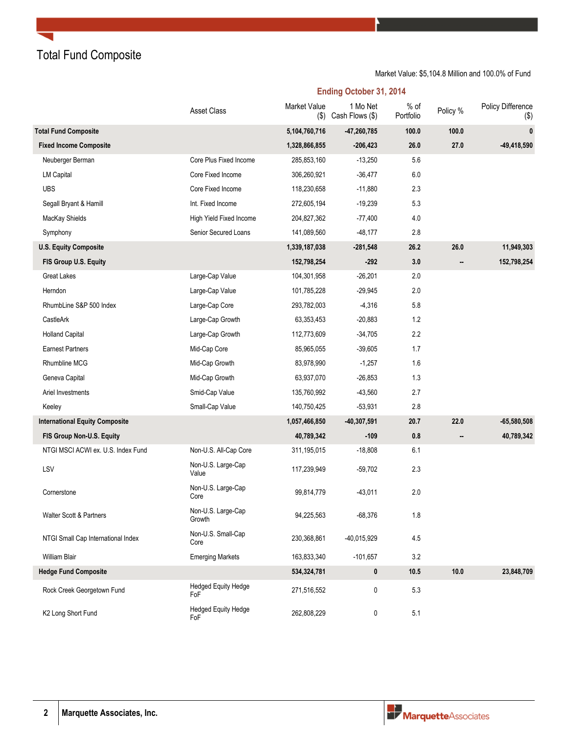Total Fund Composite

| <b>Ending October 31, 2014</b> |  |  |  |
|--------------------------------|--|--|--|
|--------------------------------|--|--|--|

|                                       | Asset Class                       | <b>Market Value</b><br>$($ \$) | 1 Mo Net<br>Cash Flows (\$) | $%$ of<br>Portfolio | Policy % | Policy Difference<br>$(\$)$ |
|---------------------------------------|-----------------------------------|--------------------------------|-----------------------------|---------------------|----------|-----------------------------|
| <b>Total Fund Composite</b>           |                                   | 5,104,760,716                  | $-47,260,785$               | 100.0               | 100.0    | $\bf{0}$                    |
| <b>Fixed Income Composite</b>         |                                   | 1,328,866,855                  | $-206,423$                  | 26.0                | 27.0     | $-49,418,590$               |
| Neuberger Berman                      | Core Plus Fixed Income            | 285,853,160                    | $-13,250$                   | 5.6                 |          |                             |
| <b>LM Capital</b>                     | Core Fixed Income                 | 306,260,921                    | $-36,477$                   | 6.0                 |          |                             |
| <b>UBS</b>                            | Core Fixed Income                 | 118,230,658                    | $-11,880$                   | 2.3                 |          |                             |
| Segall Bryant & Hamill                | Int. Fixed Income                 | 272,605,194                    | $-19,239$                   | 5.3                 |          |                             |
| MacKay Shields                        | High Yield Fixed Income           | 204,827,362                    | $-77,400$                   | 4.0                 |          |                             |
| Symphony                              | Senior Secured Loans              | 141,089,560                    | $-48,177$                   | 2.8                 |          |                             |
| <b>U.S. Equity Composite</b>          |                                   | 1,339,187,038                  | $-281,548$                  | 26.2                | 26.0     | 11,949,303                  |
| FIS Group U.S. Equity                 |                                   | 152,798,254                    | $-292$                      | 3.0                 |          | 152,798,254                 |
| <b>Great Lakes</b>                    | Large-Cap Value                   | 104,301,958                    | $-26,201$                   | 2.0                 |          |                             |
| Herndon                               | Large-Cap Value                   | 101,785,228                    | -29,945                     | 2.0                 |          |                             |
| RhumbLine S&P 500 Index               | Large-Cap Core                    | 293,782,003                    | $-4,316$                    | 5.8                 |          |                             |
| CastleArk                             | Large-Cap Growth                  | 63,353,453                     | $-20,883$                   | 1.2                 |          |                             |
| <b>Holland Capital</b>                | Large-Cap Growth                  | 112,773,609                    | $-34,705$                   | 2.2                 |          |                             |
| <b>Earnest Partners</b>               | Mid-Cap Core                      | 85,965,055                     | $-39,605$                   | 1.7                 |          |                             |
| Rhumbline MCG                         | Mid-Cap Growth                    | 83,978,990                     | $-1,257$                    | 1.6                 |          |                             |
| Geneva Capital                        | Mid-Cap Growth                    | 63,937,070                     | $-26,853$                   | 1.3                 |          |                             |
| Ariel Investments                     | Smid-Cap Value                    | 135,760,992                    | $-43,560$                   | 2.7                 |          |                             |
| Keeley                                | Small-Cap Value                   | 140,750,425                    | $-53,931$                   | 2.8                 |          |                             |
| <b>International Equity Composite</b> |                                   | 1,057,466,850                  | $-40,307,591$               | 20.7                | 22.0     | $-65,580,508$               |
| FIS Group Non-U.S. Equity             |                                   | 40,789,342                     | $-109$                      | 0.8                 |          | 40,789,342                  |
| NTGI MSCI ACWI ex. U.S. Index Fund    | Non-U.S. All-Cap Core             | 311,195,015                    | $-18,808$                   | 6.1                 |          |                             |
| LSV                                   | Non-U.S. Large-Cap<br>Value       | 117,239,949                    | $-59,702$                   | 2.3                 |          |                             |
| Cornerstone                           | Non-U.S. Large-Cap<br>Core        | 99,814,779                     | $-43,011$                   | 2.0                 |          |                             |
| Walter Scott & Partners               | Non-U.S. Large-Cap<br>Growth      | 94,225,563                     | $-68,376$                   | 1.8                 |          |                             |
| NTGI Small Cap International Index    | Non-U.S. Small-Cap<br>Core        | 230,368,861                    | -40,015,929                 | 4.5                 |          |                             |
| <b>William Blair</b>                  | <b>Emerging Markets</b>           | 163,833,340                    | $-101,657$                  | 3.2                 |          |                             |
| <b>Hedge Fund Composite</b>           |                                   | 534,324,781                    | 0                           | 10.5                | 10.0     | 23,848,709                  |
| Rock Creek Georgetown Fund            | <b>Hedged Equity Hedge</b><br>FoF | 271,516,552                    | 0                           | 5.3                 |          |                             |
| K2 Long Short Fund                    | <b>Hedged Equity Hedge</b><br>FoF | 262,808,229                    | 0                           | 5.1                 |          |                             |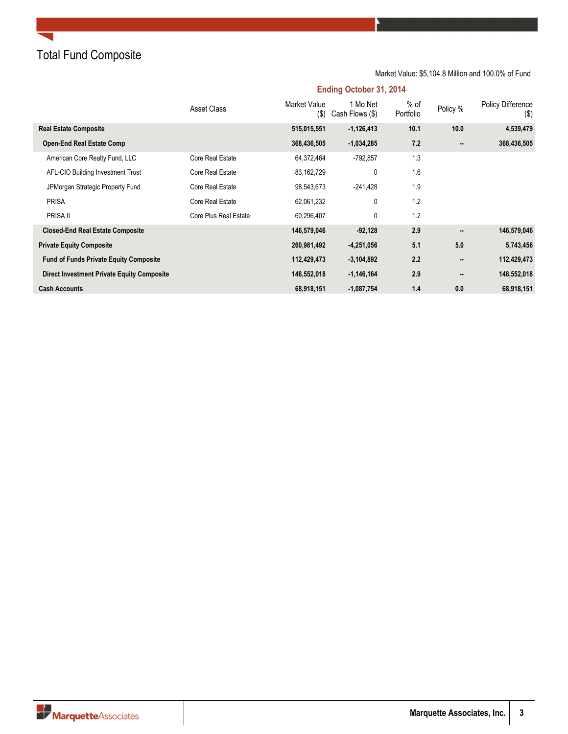## Total Fund Composite

### **Ending October 31, 2014** Asset Class Market Value (\$) Cash Flows (\$) 1 Mo Net % of<br>Portfolio Policy % Policy Difference (\$) **Real Estate Composite 515,015,551 -1,126,413 10.1 10.0 4,539,479 Open-End Real Estate Comp 368,436,505 -1,034,285 7.2 -- 368,436,505** American Core Realty Fund, LLC Core Real Estate 64,372,464 -792,857 1.3 AFL-CIO Building Investment Trust Core Real Estate 83,162,729 0 1.6 JPMorgan Strategic Property Fund Core Real Estate 98,543,673 -241,428 1.9 PRISA Core Real Estate 62,061,232 0 1.2 PRISA II Core Plus Real Estate 60,296,407 0 1.2 **Closed-End Real Estate Composite 146,579,046 -92,128 2.9 -- 146,579,046 Private Equity Composite 260,981,492 -4,251,056 5.1 5.0 5,743,456 Fund of Funds Private Equity Composite 112,429,473 -3,104,892 2.2 -- 112,429,473 Direct Investment Private Equity Composite 148,552,018 -1,146,164 2.9 -- 148,552,018 Cash Accounts 68,918,151 -1,087,754 1.4 0.0 68,918,151**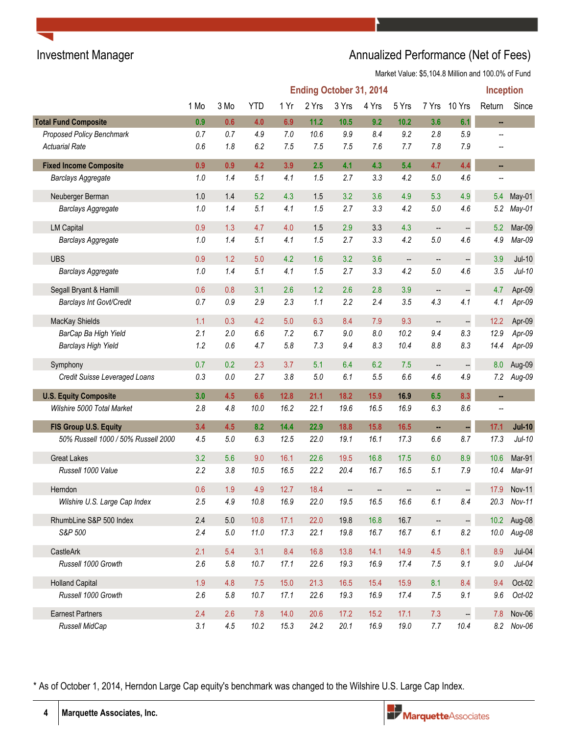# Investment Manager **Annualized Performance (Net of Fees)** Annualized Performance (Net of Fees)

Market Value: \$5,104.8 Million and 100.0% of Fund

|                                     |      |         |            |      |             |       | <b>Ending October 31, 2014</b> |                          |                          |                          | <b>Inception</b> |             |
|-------------------------------------|------|---------|------------|------|-------------|-------|--------------------------------|--------------------------|--------------------------|--------------------------|------------------|-------------|
|                                     | 1 Mo | 3 Mo    | <b>YTD</b> | 1 Yr | 2 Yrs       | 3 Yrs | 4 Yrs                          | 5 Yrs                    | 7 Yrs                    | 10 Yrs                   | Return           | Since       |
| <b>Total Fund Composite</b>         | 0.9  | 0.6     | 4.0        | 6.9  | 11.2        | 10.5  | 9.2                            | $10.2$                   | 3.6                      | 6.1                      | н.               |             |
| Proposed Policy Benchmark           | 0.7  | 0.7     | 4.9        | 7.0  | 10.6        | 9.9   | 8.4                            | 9.2                      | 2.8                      | 5.9                      |                  |             |
| <b>Actuarial Rate</b>               | 0.6  | 1.8     | 6.2        | 7.5  | 7.5         | 7.5   | 7.6                            | 7.7                      | 7.8                      | 7.9                      |                  |             |
| <b>Fixed Income Composite</b>       | 0.9  | 0.9     | 4.2        | 3.9  | 2.5         | 4.1   | 4.3                            | 5.4                      | 4.7                      | 4.4                      | н,               |             |
| <b>Barclays Aggregate</b>           | 1.0  | 1.4     | 5.1        | 4.1  | 1.5         | 2.7   | 3.3                            | 4.2                      | $5.0\,$                  | 4.6                      |                  |             |
| Neuberger Berman                    | 1.0  | 1.4     | 5.2        | 4.3  | 1.5         | 3.2   | 3.6                            | 4.9                      | 5.3                      | 4.9                      | 5.4              | May-01      |
| Barclays Aggregate                  | 1.0  | 1.4     | 5.1        | 4.1  | 1.5         | 2.7   | 3.3                            | 4.2                      | 5.0                      | 4.6                      | 5.2              | May-01      |
| <b>LM Capital</b>                   | 0.9  | 1.3     | 4.7        | 4.0  | 1.5         | 2.9   | 3.3                            | 4.3                      | --                       | $\frac{1}{2}$            | 5.2              | Mar-09      |
| <b>Barclays Aggregate</b>           | 1.0  | 1.4     | 5.1        | 4.1  | 1.5         | 2.7   | 3.3                            | 4.2                      | 5.0                      | 4.6                      | 4.9              | Mar-09      |
| <b>UBS</b>                          | 0.9  | 1.2     | 5.0        | 4.2  | 1.6         | 3.2   | 3.6                            | $\overline{\phantom{a}}$ | $\overline{\phantom{a}}$ | $\overline{\phantom{a}}$ | 3.9              | $Jul-10$    |
| <b>Barclays Aggregate</b>           | 1.0  | 1.4     | 5.1        | 4.1  | 1.5         | 2.7   | 3.3                            | 4.2                      | 5.0                      | 4.6                      | 3.5              | $Jul-10$    |
| Segall Bryant & Hamill              | 0.6  | 0.8     | 3.1        | 2.6  | 1.2         | 2.6   | 2.8                            | 3.9                      | --                       | $\frac{1}{2}$            | 4.7              | Apr-09      |
| Barclays Int Govt/Credit            | 0.7  | 0.9     | 2.9        | 2.3  | 1.1         | 2.2   | 2.4                            | 3.5                      | 4.3                      | 4.1                      | 4.1              | Apr-09      |
| MacKay Shields                      | 1.1  | 0.3     | 4.2        | 5.0  | 6.3         | 8.4   | 7.9                            | 9.3                      | $\overline{\phantom{m}}$ | $\frac{1}{2}$            | 12.2             | Apr-09      |
| BarCap Ba High Yield                | 2.1  | 2.0     | 6.6        | 7.2  | 6.7         | 9.0   | 8.0                            | 10.2                     | 9.4                      | 8.3                      | 12.9             | Apr-09      |
| <b>Barclays High Yield</b>          | 1.2  | 0.6     | 4.7        | 5.8  | 7.3         | 9.4   | 8.3                            | 10.4                     | $8.8\,$                  | 8.3                      | 14.4             | Apr-09      |
| Symphony                            | 0.7  | 0.2     | 2.3        | 3.7  | 5.1         | 6.4   | 6.2                            | 7.5                      | --                       | $\frac{1}{2}$            | 8.0              | Aug-09      |
| Credit Suisse Leveraged Loans       | 0.3  | $0.0\,$ | 2.7        | 3.8  | 5.0         | 6.1   | 5.5                            | 6.6                      | 4.6                      | 4.9                      |                  | 7.2 Aug-09  |
| <b>U.S. Equity Composite</b>        | 3.0  | 4.5     | 6.6        | 12.8 | 21.1        | 18.2  | 15.9                           | 16.9                     | 6.5                      | 8.3                      | н,               |             |
| Wilshire 5000 Total Market          | 2.8  | 4.8     | 10.0       | 16.2 | 22.1        | 19.6  | 16.5                           | 16.9                     | 6.3                      | 8.6                      | $\overline{a}$   |             |
| FIS Group U.S. Equity               | 3.4  | 4.5     | 8.2        | 14.4 | 22.9        | 18.8  | 15.8                           | 16.5                     | ä,                       | ÷,                       | 17.1             | $Jul-10$    |
| 50% Russell 1000 / 50% Russell 2000 | 4.5  | 5.0     | 6.3        | 12.5 | 22.0        | 19.1  | 16.1                           | 17.3                     | $6.6\,$                  | 8.7                      | 17.3             | $Jul-10$    |
| <b>Great Lakes</b>                  | 3.2  | 5.6     | 9.0        | 16.1 | 22.6        | 19.5  | 16.8                           | 17.5                     | 6.0                      | 8.9                      | 10.6             | Mar-91      |
| Russell 1000 Value                  | 2.2  | 3.8     | 10.5       | 16.5 | 22.2        | 20.4  | 16.7                           | 16.5                     | 5.1                      | 7.9                      | 10.4             | Mar-91      |
| Herndon                             | 0.6  | 1.9     | 4.9        | 12.7 | 18.4        |       |                                | --                       | --                       |                          | 17.9             | Nov-11      |
| Wilshire U.S. Large Cap Index       | 2.5  | 4.9     | 10.8       | 16.9 | <b>22.0</b> | 19.5  | 16.5                           | 16.6                     | 6.1                      | 8.4                      |                  | 20.3 Nov-11 |
| RhumbLine S&P 500 Index             | 2.4  | 5.0     | 10.8       | 17.1 | 22.0        | 19.8  | 16.8                           | 16.7                     | $\frac{1}{2}$            | $\mathbb{H}$             |                  | 10.2 Aug-08 |
| S&P 500                             | 2.4  | $5.0\,$ | 11.0       | 17.3 | 22.1        | 19.8  | 16.7                           | 16.7                     | $6.1\,$                  | 8.2                      | 10.0             | Aug-08      |
| CastleArk                           | 2.1  | 5.4     | 3.1        | 8.4  | 16.8        | 13.8  | 14.1                           | 14.9                     | 4.5                      | 8.1                      | 8.9              | $Jul-04$    |
| Russell 1000 Growth                 | 2.6  | $5.8\,$ | 10.7       | 17.1 | 22.6        | 19.3  | 16.9                           | 17.4                     | $7.5\,$                  | 9.1                      | $9.0\,$          | $Jul-04$    |
| <b>Holland Capital</b>              | 1.9  | 4.8     | 7.5        | 15.0 | 21.3        | 16.5  | 15.4                           | 15.9                     | 8.1                      | 8.4                      | 9.4              | Oct-02      |
| Russell 1000 Growth                 | 2.6  | $5.8\,$ | 10.7       | 17.1 | 22.6        | 19.3  | 16.9                           | 17.4                     | 7.5                      | 9.1                      | 9.6              | $Oct-02$    |
| <b>Earnest Partners</b>             | 2.4  | 2.6     | 7.8        | 14.0 | 20.6        | 17.2  | 15.2                           | 17.1                     | 7.3                      | $\Box$                   | 7.8              | Nov-06      |
| Russell MidCap                      | 3.1  | 4.5     | 10.2       | 15.3 | 24.2        | 20.1  | 16.9                           | 19.0                     | 7.7                      | 10.4                     |                  | 8.2 Nov-06  |

\* As of October 1, 2014, Herndon Large Cap equity's benchmark was changed to the Wilshire U.S. Large Cap Index.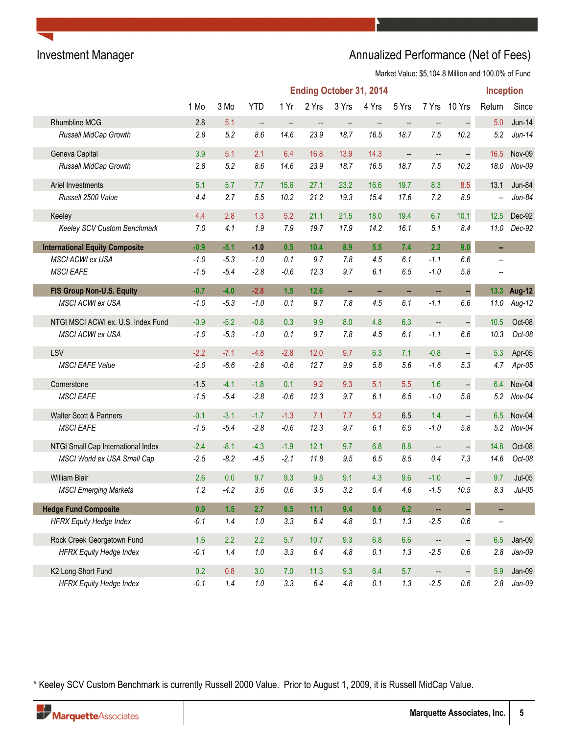# Investment Manager **Annualized Performance (Net of Fees)** Annualized Performance (Net of Fees)

Market Value: \$5,104.8 Million and 100.0% of Fund

|                                       |        |         |                          |        |                        |         | <b>Ending October 31, 2014</b> |                          |                          |                          | <b>Inception</b>         |             |
|---------------------------------------|--------|---------|--------------------------|--------|------------------------|---------|--------------------------------|--------------------------|--------------------------|--------------------------|--------------------------|-------------|
|                                       | 1 Mo   | 3 Mo    | <b>YTD</b>               | 1 Yr   | 2 Yrs                  | 3 Yrs   | 4 Yrs                          | 5 Yrs                    | 7 Yrs                    | 10 Yrs                   | Return                   | Since       |
| <b>Rhumbline MCG</b>                  | 2.8    | 5.1     | $\overline{\phantom{a}}$ | --     | $\qquad \qquad \cdots$ | --      | $\overline{\phantom{a}}$       | $\overline{\phantom{a}}$ | $\qquad \qquad -$        | $\overline{\phantom{a}}$ | 5.0                      | $Jun-14$    |
| Russell MidCap Growth                 | 2.8    | 5.2     | 8.6                      | 14.6   | 23.9                   | 18.7    | 16.5                           | 18.7                     | 7.5                      | 10.2                     | 5.2                      | $Jun-14$    |
| Geneva Capital                        | 3.9    | 5.1     | 2.1                      | 6.4    | 16.8                   | 13.9    | 14.3                           | $\qquad \qquad -$        | $\overline{\phantom{a}}$ | $\ddot{\phantom{1}}$     | 16.5                     | Nov-09      |
| Russell MidCap Growth                 | 2.8    | 5.2     | 8.6                      | 14.6   | 23.9                   | 18.7    | 16.5                           | 18.7                     | 7.5                      | 10.2                     | 18.0                     | Nov-09      |
| Ariel Investments                     | 5.1    | 5.7     | 7.7                      | 15.6   | 27.1                   | 23.2    | 16.6                           | 19.7                     | 8.3                      | 8.5                      | 13.1                     | Jun-84      |
| Russell 2500 Value                    | 4.4    | 2.7     | 5.5                      | 10.2   | 21.2                   | 19.3    | 15.4                           | 17.6                     | 7.2                      | 8.9                      |                          | $Jun-84$    |
| Keeley                                | 4.4    | 2.8     | 1.3                      | 5.2    | 21.1                   | 21.5    | 18.0                           | 19.4                     | 6.7                      | 10.1                     | 12.5                     | Dec-92      |
| Keeley SCV Custom Benchmark           | 7.0    | 4.1     | 1.9                      | 7.9    | 19.7                   | 17.9    | 14.2                           | 16.1                     | 5.1                      | 8.4                      | 11.0                     | Dec-92      |
| <b>International Equity Composite</b> | $-0.9$ | $-5.1$  | $-1.0$                   | 0.5    | 10.4                   | 8.9     | 5.5                            | 7.4                      | 2.2                      | 9.0                      | ш,                       |             |
| <b>MSCI ACWI ex USA</b>               | $-1.0$ | $-5.3$  | $-1.0$                   | 0.1    | 9.7                    | 7.8     | 4.5                            | 6.1                      | $-1.1$                   | 6.6                      |                          |             |
| <b>MSCI EAFE</b>                      | $-1.5$ | $-5.4$  | $-2.8$                   | $-0.6$ | 12.3                   | 9.7     | 6.1                            | 6.5                      | $-1.0$                   | 5.8                      | $\overline{\phantom{a}}$ |             |
| FIS Group Non-U.S. Equity             | $-0.7$ | $-4.0$  | $-2.8$                   | 1.5    | 12.6                   | н,      | $\blacksquare$                 | н,                       | н,                       | u,                       |                          | 13.3 Aug-12 |
| MSCI ACWI ex USA                      | $-1.0$ | $-5.3$  | $-1.0$                   | 0.1    | 9.7                    | 7.8     | 4.5                            | 6.1                      | $-1.1$                   | 6.6                      | 11.0                     | Aug-12      |
| NTGI MSCI ACWI ex. U.S. Index Fund    | $-0.9$ | $-5.2$  | $-0.8$                   | 0.3    | 9.9                    | 8.0     | 4.8                            | 6.3                      | --                       | $\ddot{\phantom{0}}$     | 10.5                     | Oct-08      |
| MSCI ACWI ex USA                      | $-1.0$ | $-5.3$  | $-1.0$                   | 0.1    | 9.7                    | 7.8     | 4.5                            | 6.1                      | $-1.1$                   | 6.6                      | 10.3                     | Oct-08      |
| LSV                                   | $-2.2$ | $-7.1$  | $-4.8$                   | $-2.8$ | 12.0                   | 9.7     | 6.3                            | 7.1                      | $-0.8$                   | ÷,                       | 5.3                      | Apr-05      |
| <b>MSCI EAFE Value</b>                | $-2.0$ | $-6.6$  | $-2.6$                   | $-0.6$ | 12.7                   | 9.9     | 5.8                            | 5.6                      | $-1.6$                   | 5.3                      | 4.7                      | Apr-05      |
| Cornerstone                           | $-1.5$ | $-4.1$  | $-1.8$                   | 0.1    | 9.2                    | 9.3     | 5.1                            | 5.5                      | 1.6                      | 4                        | 6.4                      | Nov-04      |
| <b>MSCI EAFE</b>                      | $-1.5$ | $-5.4$  | $-2.8$                   | $-0.6$ | 12.3                   | 9.7     | 6.1                            | 6.5                      | $-1.0$                   | 5.8                      | 5.2                      | $Nov-04$    |
| Walter Scott & Partners               | $-0.1$ | $-3.1$  | $-1.7$                   | $-1.3$ | 7.1                    | 7.7     | 5.2                            | 6.5                      | 1.4                      | $\overline{a}$           | 6.5                      | Nov-04      |
| <b>MSCI EAFE</b>                      | $-1.5$ | $-5.4$  | $-2.8$                   | $-0.6$ | 12.3                   | 9.7     | 6.1                            | 6.5                      | $-1.0$                   | 5.8                      | 5.2                      | $Nov-04$    |
| NTGI Small Cap International Index    | $-2.4$ | $-8.1$  | $-4.3$                   | $-1.9$ | 12.1                   | 9.7     | 6.8                            | 8.8                      | $\overline{\phantom{a}}$ | $\overline{\phantom{a}}$ | 14.8                     | Oct-08      |
| MSCI World ex USA Small Cap           | $-2.5$ | $-8.2$  | $-4.5$                   | $-2.1$ | 11.8                   | 9.5     | 6.5                            | 8.5                      | 0.4                      | 7.3                      | 14.6                     | Oct-08      |
| <b>William Blair</b>                  | 2.6    | 0.0     | 9.7                      | 9.3    | 9.5                    | 9.1     | 4.3                            | 9.6                      | $-1.0$                   | <u>.</u>                 | 9.7                      | $Jul-05$    |
| <b>MSCI Emerging Markets</b>          | 1.2    | $-4.2$  | 3.6                      | 0.6    | 3.5                    | 3.2     | 0.4                            | 4.6                      | $-1.5$                   | 10.5                     | 8.3                      | $Jul-05$    |
| <b>Hedge Fund Composite</b>           | 0.9    | 1.5     | 2.7                      | 6.5    | 11.1                   | 9.4     | 6.6                            | 6.2                      | ÷,                       |                          | ш,                       |             |
| <b>HFRX Equity Hedge Index</b>        | $-0.1$ | 1.4     | $1.0\,$                  | 3.3    | 6.4                    | 4.8     | 0.1                            | 1.3                      | $-2.5$                   | $0.6\,$                  | --                       |             |
| Rock Creek Georgetown Fund            | 1.6    | 2.2     | 2.2                      | 5.7    | 10.7                   | 9.3     | 6.8                            | 6.6                      | $\overline{\phantom{a}}$ | $\frac{1}{2}$            | 6.5                      | $Jan-09$    |
| <b>HFRX Equity Hedge Index</b>        | $-0.1$ | 1.4     | $1.0\,$                  | 3.3    | 6.4                    | 4.8     | 0.1                            | $1.3\,$                  | $-2.5$                   | 0.6                      | 2.8                      | $Jan-09$    |
| K2 Long Short Fund                    | 0.2    | 0.8     | 3.0                      | 7.0    | 11.3                   | 9.3     | 6.4                            | 5.7                      | $\overline{\phantom{a}}$ | $\ddot{\phantom{0}}$     | 5.9                      | $Jan-09$    |
| <b>HFRX Equity Hedge Index</b>        | $-0.1$ | $1.4\,$ | $1.0\,$                  | 3.3    | $6.4\,$                | $4.8\,$ | $0.1\,$                        | 1.3                      | $-2.5$                   | $0.6\,$                  | 2.8                      | $Jan-09$    |

\* Keeley SCV Custom Benchmark is currently Russell 2000 Value. Prior to August 1, 2009, it is Russell MidCap Value.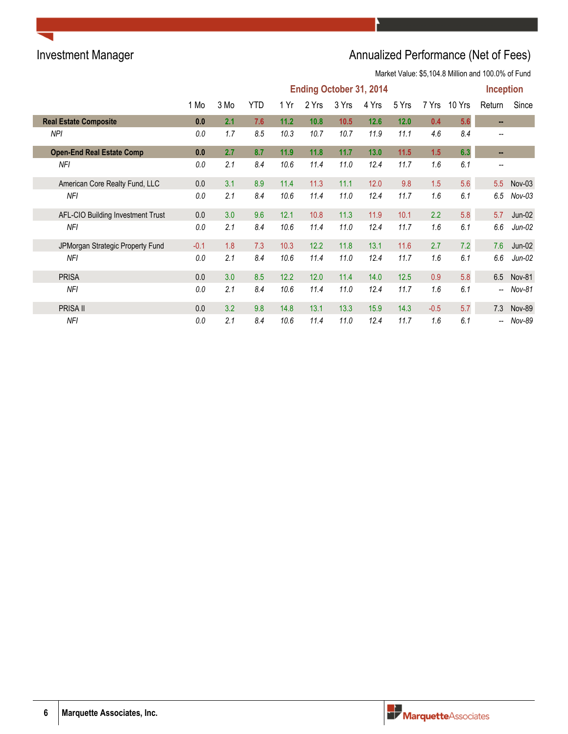# Investment Manager **Annualized Performance (Net of Fees)** Annualized Performance (Net of Fees)

|                                   | <b>Ending October 31, 2014</b> |      |     |      |       |       |       |       |        |        |                          | <b>Inception</b> |
|-----------------------------------|--------------------------------|------|-----|------|-------|-------|-------|-------|--------|--------|--------------------------|------------------|
|                                   | 1 Mo                           | 3 Mo | YTD | 1 Yr | 2 Yrs | 3 Yrs | 4 Yrs | 5 Yrs | 7 Yrs  | 10 Yrs | Return                   | Since            |
| <b>Real Estate Composite</b>      | 0.0                            | 2.1  | 7.6 | 11.2 | 10.8  | 10.5  | 12.6  | 12.0  | 0.4    | 5.6    | $\sim$                   |                  |
| NPI                               | 0.0                            | 1.7  | 8.5 | 10.3 | 10.7  | 10.7  | 11.9  | 11.1  | 4.6    | 8.4    |                          |                  |
| <b>Open-End Real Estate Comp</b>  | 0.0                            | 2.7  | 8.7 | 11.9 | 11.8  | 11.7  | 13.0  | 11.5  | 1.5    | 6.3    | $\sim$                   |                  |
| NFI                               | 0.0                            | 2.1  | 8.4 | 10.6 | 11.4  | 11.0  | 12.4  | 11.7  | 1.6    | 6.1    | $\overline{\phantom{m}}$ |                  |
| American Core Realty Fund, LLC    | 0.0                            | 3.1  | 8.9 | 11.4 | 11.3  | 11.1  | 12.0  | 9.8   | 1.5    | 5.6    | 5.5                      | $Nov-03$         |
| NFI                               | 0.0                            | 2.1  | 8.4 | 10.6 | 11.4  | 11.0  | 12.4  | 11.7  | 1.6    | 6.1    | 6.5                      | $Nov-03$         |
| AFL-CIO Building Investment Trust | 0.0                            | 3.0  | 9.6 | 12.1 | 10.8  | 11.3  | 11.9  | 10.1  | 2.2    | 5.8    | 5.7                      | $Jun-02$         |
| <b>NFI</b>                        | 0.0                            | 2.1  | 8.4 | 10.6 | 11.4  | 11.0  | 12.4  | 11.7  | 1.6    | 6.1    | 6.6                      | $Jun-02$         |
| JPMorgan Strategic Property Fund  | $-0.1$                         | 1.8  | 7.3 | 10.3 | 12.2  | 11.8  | 13.1  | 11.6  | 2.7    | 7.2    | 7.6                      | $Jun-02$         |
| NFI                               | 0.0                            | 2.1  | 8.4 | 10.6 | 11.4  | 11.0  | 12.4  | 11.7  | 1.6    | 6.1    | 6.6                      | $Jun-02$         |
| <b>PRISA</b>                      | 0.0                            | 3.0  | 8.5 | 12.2 | 12.0  | 11.4  | 14.0  | 12.5  | 0.9    | 5.8    | 6.5                      | <b>Nov-81</b>    |
| NFI                               | 0.0                            | 2.1  | 8.4 | 10.6 | 11.4  | 11.0  | 12.4  | 11.7  | 1.6    | 6.1    | $\overline{\phantom{a}}$ | Nov-81           |
| PRISA II                          | 0.0                            | 3.2  | 9.8 | 14.8 | 13.1  | 13.3  | 15.9  | 14.3  | $-0.5$ | 5.7    | 7.3                      | <b>Nov-89</b>    |
| <b>NFI</b>                        | 0.0                            | 2.1  | 8.4 | 10.6 | 11.4  | 11.0  | 12.4  | 11.7  | 1.6    | 6.1    | $\overline{\phantom{a}}$ | Nov-89           |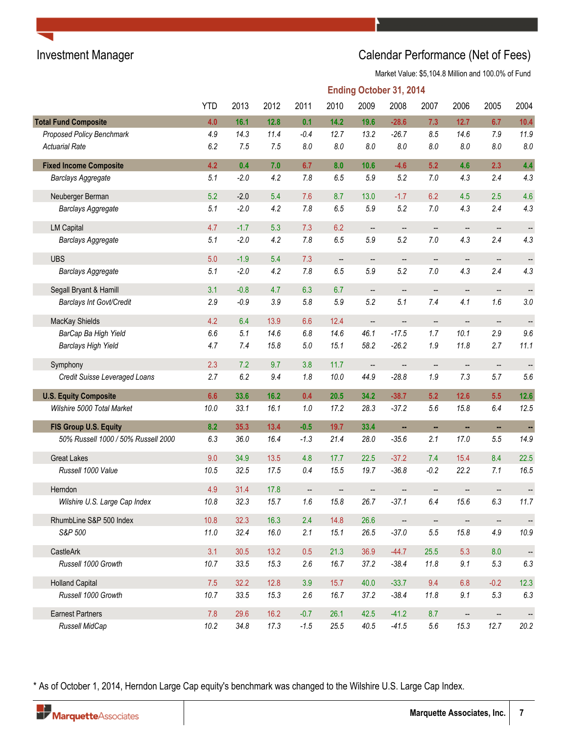# Investment Manager **Investment Manager** Calendar Performance (Net of Fees)

Market Value: \$5,104.8 Million and 100.0% of Fund

|                                     |            |        |      |                          |         | <b>Ending October 31, 2014</b> |                          |                          |                          |                          |                          |
|-------------------------------------|------------|--------|------|--------------------------|---------|--------------------------------|--------------------------|--------------------------|--------------------------|--------------------------|--------------------------|
|                                     | <b>YTD</b> | 2013   | 2012 | 2011                     | 2010    | 2009                           | 2008                     | 2007                     | 2006                     | 2005                     | 2004                     |
| <b>Total Fund Composite</b>         | 4.0        | 16.1   | 12.8 | 0.1                      | 14.2    | 19.6                           | $-28.6$                  | 7.3                      | 12.7                     | 6.7                      | 10.4                     |
| Proposed Policy Benchmark           | 4.9        | 14.3   | 11.4 | $-0.4$                   | 12.7    | 13.2                           | $-26.7$                  | 8.5                      | 14.6                     | 7.9                      | 11.9                     |
| <b>Actuarial Rate</b>               | 6.2        | 7.5    | 7.5  | 8.0                      | 8.0     | 8.0                            | 8.0                      | $8.0\,$                  | 8.0                      | $8.0\,$                  | $8.0\,$                  |
| <b>Fixed Income Composite</b>       | 4.2        | 0.4    | 7.0  | 6.7                      | 8.0     | 10.6                           | $-4.6$                   | 5.2                      | 4.6                      | 2.3                      | 4.4                      |
| <b>Barclays Aggregate</b>           | 5.1        | $-2.0$ | 4.2  | 7.8                      | 6.5     | 5.9                            | 5.2                      | $7.0$                    | 4.3                      | 2.4                      | 4.3                      |
| Neuberger Berman                    | 5.2        | $-2.0$ | 5.4  | 7.6                      | 8.7     | 13.0                           | $-1.7$                   | 6.2                      | 4.5                      | 2.5                      | 4.6                      |
| Barclays Aggregate                  | 5.1        | $-2.0$ | 4.2  | 7.8                      | 6.5     | 5.9                            | 5.2                      | $7.0$                    | 4.3                      | 2.4                      | 4.3                      |
| <b>LM Capital</b>                   | 4.7        | $-1.7$ | 5.3  | 7.3                      | 6.2     | --                             | $\overline{\phantom{a}}$ | --                       | $\overline{\phantom{a}}$ | --                       | --                       |
| <b>Barclays Aggregate</b>           | 5.1        | $-2.0$ | 4.2  | 7.8                      | 6.5     | 5.9                            | 5.2                      | 7.0                      | 4.3                      | 2.4                      | 4.3                      |
| <b>UBS</b>                          | 5.0        | $-1.9$ | 5.4  | 7.3                      | --      | --                             | $\qquad \qquad \cdots$   | $\qquad \qquad \qquad -$ | --                       | $\qquad \qquad \qquad -$ | $\overline{\phantom{a}}$ |
| <b>Barclays Aggregate</b>           | 5.1        | $-2.0$ | 4.2  | 7.8                      | $6.5\,$ | 5.9                            | 5.2                      | $7.0$                    | 4.3                      | 2.4                      | 4.3                      |
| Segall Bryant & Hamill              | 3.1        | $-0.8$ | 4.7  | 6.3                      | 6.7     | --                             | $\overline{\phantom{a}}$ | $\overline{\phantom{a}}$ | $\overline{\phantom{a}}$ | --                       |                          |
| Barclays Int Govt/Credit            | 2.9        | $-0.9$ | 3.9  | 5.8                      | 5.9     | 5.2                            | 5.1                      | 7.4                      | 4.1                      | 1.6                      | $3.0\,$                  |
| MacKay Shields                      | 4.2        | 6.4    | 13.9 | 6.6                      | 12.4    | --                             | --                       | --                       | $\overline{\phantom{a}}$ | $\overline{\phantom{a}}$ |                          |
| BarCap Ba High Yield                | 6.6        | 5.1    | 14.6 | 6.8                      | 14.6    | 46.1                           | $-17.5$                  | 1.7                      | 10.1                     | 2.9                      | 9.6                      |
| <b>Barclays High Yield</b>          | 4.7        | 7.4    | 15.8 | $5.0\,$                  | 15.1    | 58.2                           | $-26.2$                  | 1.9                      | 11.8                     | 2.7                      | 11.1                     |
| Symphony                            | 2.3        | 7.2    | 9.7  | 3.8                      | 11.7    | --                             | --                       | $\qquad \qquad \cdots$   | --                       | --                       |                          |
| Credit Suisse Leveraged Loans       | 2.7        | 6.2    | 9.4  | 1.8                      | 10.0    | 44.9                           | $-28.8$                  | $1.9\,$                  | 7.3                      | 5.7                      | 5.6                      |
| <b>U.S. Equity Composite</b>        | 6.6        | 33.6   | 16.2 | 0.4                      | 20.5    | 34.2                           | $-38.7$                  | 5.2                      | 12.6                     | 5.5                      | $12.6$                   |
| Wilshire 5000 Total Market          | 10.0       | 33.1   | 16.1 | 1.0                      | 17.2    | 28.3                           | $-37.2$                  | 5.6                      | 15.8                     | 6.4                      | 12.5                     |
| FIS Group U.S. Equity               | 8.2        | 35.3   | 13.4 | $-0.5$                   | 19.7    | 33.4                           | ш,                       | н,                       | н,                       | н,                       | ÷,                       |
| 50% Russell 1000 / 50% Russell 2000 | 6.3        | 36.0   | 16.4 | $-1.3$                   | 21.4    | 28.0                           | $-35.6$                  | 2.1                      | 17.0                     | 5.5                      | 14.9                     |
| <b>Great Lakes</b>                  | 9.0        | 34.9   | 13.5 | 4.8                      | 17.7    | 22.5                           | $-37.2$                  | 7.4                      | 15.4                     | 8.4                      | 22.5                     |
| Russell 1000 Value                  | 10.5       | 32.5   | 17.5 | 0.4                      | 15.5    | 19.7                           | $-36.8$                  | $-0.2$                   | 22.2                     | 7.1                      | 16.5                     |
| Herndon                             | 4.9        | 31.4   | 17.8 | $\overline{\phantom{a}}$ |         | --                             |                          | --                       |                          |                          |                          |
| Wilshire U.S. Large Cap Index       | 10.8       | 32.3   | 15.7 | $1.6\,$                  | 15.8    | 26.7                           | $-37.1$                  | 6.4                      | 15.6                     | 6.3                      | 11.7                     |
| RhumbLine S&P 500 Index             | 10.8       | 32.3   | 16.3 | 2.4                      | 14.8    | 26.6                           | $\overline{\phantom{a}}$ | $\overline{\phantom{a}}$ | $\overline{\phantom{a}}$ | $\qquad \qquad -$        | $\overline{\phantom{a}}$ |
| S&P 500                             | 11.0       | 32.4   | 16.0 | 2.1                      | 15.1    | 26.5                           | $-37.0$                  | $5.5\,$                  | 15.8                     | 4.9                      | 10.9                     |
| CastleArk                           | 3.1        | 30.5   | 13.2 | 0.5                      | 21.3    | 36.9                           | $-44.7$                  | 25.5                     | 5.3                      | 8.0                      |                          |
| Russell 1000 Growth                 | 10.7       | 33.5   | 15.3 | 2.6                      | 16.7    | 37.2                           | $-38.4$                  | 11.8                     | 9.1                      | 5.3                      | $6.3\,$                  |
| <b>Holland Capital</b>              | 7.5        | 32.2   | 12.8 | 3.9                      | 15.7    | 40.0                           | $-33.7$                  | 9.4                      | 6.8                      | $-0.2$                   | 12.3                     |
| Russell 1000 Growth                 | 10.7       | 33.5   | 15.3 | 2.6                      | 16.7    | 37.2                           | $-38.4$                  | 11.8                     | 9.1                      | 5.3                      | $6.3\,$                  |
| <b>Earnest Partners</b>             | 7.8        | 29.6   | 16.2 | $-0.7$                   | 26.1    | 42.5                           | $-41.2$                  | 8.7                      | --                       | --                       |                          |
| Russell MidCap                      | 10.2       | 34.8   | 17.3 | $-1.5$                   | 25.5    | 40.5                           | $-41.5$                  | $5.6\,$                  | 15.3                     | 12.7                     | 20.2                     |

\* As of October 1, 2014, Herndon Large Cap equity's benchmark was changed to the Wilshire U.S. Large Cap Index.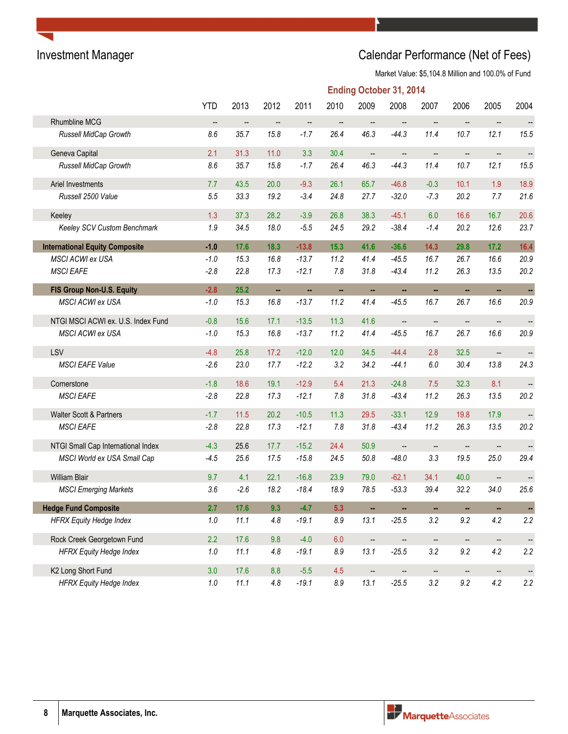# Investment Manager **Investment Manager** Calendar Performance (Net of Fees)

|                                       | <b>Ending October 31, 2014</b> |        |                          |         |                          |                          |                          |                          |                          |                          |                          |
|---------------------------------------|--------------------------------|--------|--------------------------|---------|--------------------------|--------------------------|--------------------------|--------------------------|--------------------------|--------------------------|--------------------------|
|                                       | <b>YTD</b>                     | 2013   | 2012                     | 2011    | 2010                     | 2009                     | 2008                     | 2007                     | 2006                     | 2005                     | 2004                     |
| Rhumbline MCG                         | --                             | --     | --                       | --      | $\overline{\phantom{a}}$ | $\overline{\phantom{a}}$ | $\overline{\phantom{a}}$ | --                       | --                       | $\overline{\phantom{a}}$ | $\overline{\phantom{a}}$ |
| Russell MidCap Growth                 | 8.6                            | 35.7   | 15.8                     | $-1.7$  | 26.4                     | 46.3                     | $-44.3$                  | 11.4                     | 10.7                     | 12.1                     | 15.5                     |
| Geneva Capital                        | 2.1                            | 31.3   | 11.0                     | 3.3     | 30.4                     | $\qquad \qquad \cdots$   | --                       | --                       | --                       | $\overline{\phantom{a}}$ | $\overline{\phantom{a}}$ |
| Russell MidCap Growth                 | 8.6                            | 35.7   | 15.8                     | $-1.7$  | 26.4                     | 46.3                     | $-44.3$                  | 11.4                     | 10.7                     | 12.1                     | 15.5                     |
| Ariel Investments                     | 7.7                            | 43.5   | 20.0                     | $-9.3$  | 26.1                     | 65.7                     | $-46.8$                  | $-0.3$                   | 10.1                     | 1.9                      | 18.9                     |
| Russell 2500 Value                    | 5.5                            | 33.3   | 19.2                     | $-3.4$  | 24.8                     | 27.7                     | $-32.0$                  | $-7.3$                   | 20.2                     | 7.7                      | 21.6                     |
| Keeley                                | 1.3                            | 37.3   | 28.2                     | $-3.9$  | 26.8                     | 38.3                     | $-45.1$                  | 6.0                      | 16.6                     | 16.7                     | 20.6                     |
| Keeley SCV Custom Benchmark           | 1.9                            | 34.5   | 18.0                     | $-5.5$  | 24.5                     | 29.2                     | $-38.4$                  | $-1.4$                   | 20.2                     | 12.6                     | 23.7                     |
| <b>International Equity Composite</b> | $-1.0$                         | 17.6   | 18.3                     | $-13.8$ | 15.3                     | 41.6                     | $-36.6$                  | 14.3                     | 29.8                     | 17.2                     | 16.4                     |
| MSCI ACWI ex USA                      | $-1.0$                         | 15.3   | 16.8                     | $-13.7$ | 11.2                     | 41.4                     | $-45.5$                  | 16.7                     | 26.7                     | 16.6                     | 20.9                     |
| <b>MSCI EAFE</b>                      | $-2.8$                         | 22.8   | 17.3                     | $-12.1$ | $7.8$                    | 31.8                     | $-43.4$                  | 11.2                     | 26.3                     | 13.5                     | 20.2                     |
| FIS Group Non-U.S. Equity             | $-2.8$                         | 25.2   | $\overline{\phantom{a}}$ | ÷.      | $\sim$                   | н,                       | ÷.                       | ä,                       | $\overline{\phantom{a}}$ | ÷.                       | ÷                        |
| MSCI ACWI ex USA                      | $-1.0$                         | 15.3   | 16.8                     | $-13.7$ | 11.2                     | 41.4                     | $-45.5$                  | 16.7                     | 26.7                     | 16.6                     | 20.9                     |
| NTGI MSCI ACWI ex. U.S. Index Fund    | $-0.8$                         | 15.6   | 17.1                     | $-13.5$ | 11.3                     | 41.6                     | $\overline{\phantom{a}}$ | --                       | --                       | --                       | $\qquad \qquad -$        |
| MSCI ACWI ex USA                      | $-1.0$                         | 15.3   | 16.8                     | $-13.7$ | 11.2                     | 41.4                     | $-45.5$                  | 16.7                     | 26.7                     | 16.6                     | 20.9                     |
| LSV                                   | $-4.8$                         | 25.8   | 17.2                     | $-12.0$ | 12.0                     | 34.5                     | $-44.4$                  | 2.8                      | 32.5                     | $\overline{\phantom{a}}$ | ÷                        |
| <b>MSCI EAFE Value</b>                | $-2.6$                         | 23.0   | 17.7                     | $-12.2$ | 3.2                      | 34.2                     | $-44.1$                  | 6.0                      | 30.4                     | 13.8                     | 24.3                     |
| Cornerstone                           | $-1.8$                         | 18.6   | 19.1                     | $-12.9$ | 5.4                      | 21.3                     | $-24.8$                  | 7.5                      | 32.3                     | 8.1                      |                          |
| <b>MSCI EAFE</b>                      | $-2.8$                         | 22.8   | 17.3                     | $-12.1$ | 7.8                      | 31.8                     | $-43.4$                  | 11.2                     | 26.3                     | 13.5                     | 20.2                     |
| <b>Walter Scott &amp; Partners</b>    | $-1.7$                         | 11.5   | 20.2                     | $-10.5$ | 11.3                     | 29.5                     | $-33.1$                  | 12.9                     | 19.8                     | 17.9                     | $\overline{\phantom{a}}$ |
| <b>MSCI EAFE</b>                      | $-2.8$                         | 22.8   | 17.3                     | $-12.1$ | 7.8                      | 31.8                     | $-43.4$                  | 11.2                     | 26.3                     | 13.5                     | 20.2                     |
| NTGI Small Cap International Index    | $-4.3$                         | 25.6   | 17.7                     | $-15.2$ | 24.4                     | 50.9                     | $\overline{\phantom{a}}$ | $\overline{\phantom{a}}$ | $\overline{\phantom{a}}$ | $\overline{\phantom{a}}$ | $\overline{\phantom{a}}$ |
| MSCI World ex USA Small Cap           | $-4.5$                         | 25.6   | 17.5                     | $-15.8$ | 24.5                     | 50.8                     | $-48.0$                  | 3.3                      | 19.5                     | 25.0                     | 29.4                     |
| <b>William Blair</b>                  | 9.7                            | 4.1    | 22.1                     | $-16.8$ | 23.9                     | 79.0                     | $-62.1$                  | 34.1                     | 40.0                     | $\overline{\phantom{a}}$ | $\overline{\phantom{a}}$ |
| <b>MSCI Emerging Markets</b>          | 3.6                            | $-2.6$ | 18.2                     | $-18.4$ | 18.9                     | 78.5                     | $-53.3$                  | 39.4                     | 32.2                     | 34.0                     | 25.6                     |
| <b>Hedge Fund Composite</b>           | 2.7                            | 17.6   | 9.3                      | $-4.7$  | 5.3                      | н,                       | н,                       |                          | ۰.                       | ۰                        |                          |
| <b>HFRX Equity Hedge Index</b>        | 1.0                            | 11.1   | $4.8\,$                  | $-19.1$ | $8.9\,$                  | 13.1                     | $-25.5$                  | 3.2                      | 9.2                      | 4.2                      | 2.2                      |
| Rock Creek Georgetown Fund            | 2.2                            | 17.6   | 9.8                      | $-4.0$  | 6.0                      | $\overline{\phantom{a}}$ | $\overline{\phantom{a}}$ | $\overline{\phantom{a}}$ | $\overline{\phantom{a}}$ | $\overline{\phantom{a}}$ | $\overline{\phantom{a}}$ |
| <b>HFRX Equity Hedge Index</b>        | 1.0                            | 11.1   | 4.8                      | $-19.1$ | $\pmb{8.9}$              | 13.1                     | $-25.5$                  | 3.2                      | $9.2\,$                  | 4.2                      | 2.2                      |
| K2 Long Short Fund                    | 3.0                            | 17.6   | 8.8                      | $-5.5$  | 4.5                      | $\overline{\phantom{m}}$ | --                       | --                       | $\overline{\phantom{a}}$ | $\overline{\phantom{a}}$ | $\overline{\phantom{a}}$ |
| <b>HFRX Equity Hedge Index</b>        | 1.0                            | 11.1   | $4.8\,$                  | $-19.1$ | $\rm 8.9$                | 13.1                     | $-25.5$                  | 3.2                      | 9.2                      | 4.2                      | 2.2                      |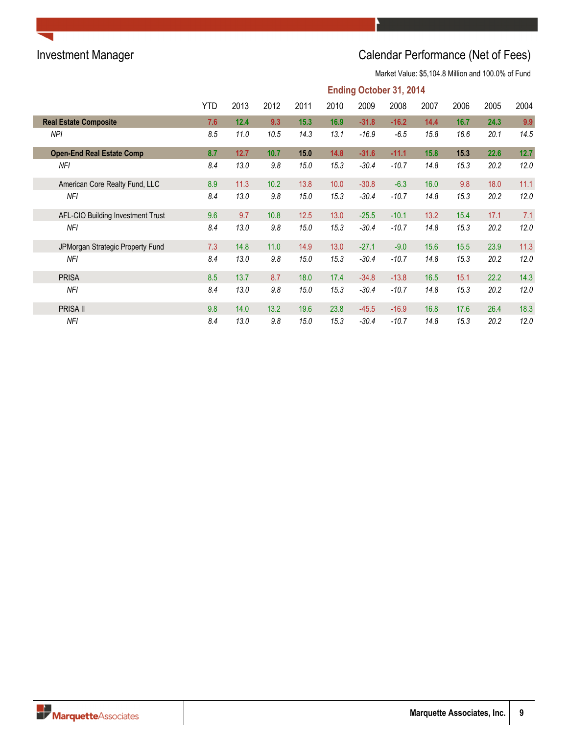# Investment Manager **Investment Manager** Calendar Performance (Net of Fees)

|                                   | <b>Ending October 31, 2014</b> |      |      |      |      |         |         |      |      |      |      |  |
|-----------------------------------|--------------------------------|------|------|------|------|---------|---------|------|------|------|------|--|
|                                   | YTD                            | 2013 | 2012 | 2011 | 2010 | 2009    | 2008    | 2007 | 2006 | 2005 | 2004 |  |
| <b>Real Estate Composite</b>      | 7.6                            | 12.4 | 9.3  | 15.3 | 16.9 | $-31.8$ | $-16.2$ | 14.4 | 16.7 | 24.3 | 9.9  |  |
| <b>NPI</b>                        | 8.5                            | 11.0 | 10.5 | 14.3 | 13.1 | $-16.9$ | $-6.5$  | 15.8 | 16.6 | 20.1 | 14.5 |  |
| <b>Open-End Real Estate Comp</b>  | 8.7                            | 12.7 | 10.7 | 15.0 | 14.8 | $-31.6$ | $-11.1$ | 15.8 | 15.3 | 22.6 | 12.7 |  |
| <b>NFI</b>                        | 8.4                            | 13.0 | 9.8  | 15.0 | 15.3 | $-30.4$ | $-10.7$ | 14.8 | 15.3 | 20.2 | 12.0 |  |
| American Core Realty Fund, LLC    | 8.9                            | 11.3 | 10.2 | 13.8 | 10.0 | $-30.8$ | $-6.3$  | 16.0 | 9.8  | 18.0 | 11.1 |  |
| NFI                               | 8.4                            | 13.0 | 9.8  | 15.0 | 15.3 | $-30.4$ | $-10.7$ | 14.8 | 15.3 | 20.2 | 12.0 |  |
| AFL-CIO Building Investment Trust | 9.6                            | 9.7  | 10.8 | 12.5 | 13.0 | $-25.5$ | $-10.1$ | 13.2 | 15.4 | 17.1 | 7.1  |  |
| NFI                               | 8.4                            | 13.0 | 9.8  | 15.0 | 15.3 | $-30.4$ | $-10.7$ | 14.8 | 15.3 | 20.2 | 12.0 |  |
| JPMorgan Strategic Property Fund  | 7.3                            | 14.8 | 11.0 | 14.9 | 13.0 | $-27.1$ | $-9.0$  | 15.6 | 15.5 | 23.9 | 11.3 |  |
| NFI                               | 8.4                            | 13.0 | 9.8  | 15.0 | 15.3 | $-30.4$ | $-10.7$ | 14.8 | 15.3 | 20.2 | 12.0 |  |
| <b>PRISA</b>                      | 8.5                            | 13.7 | 8.7  | 18.0 | 17.4 | $-34.8$ | $-13.8$ | 16.5 | 15.1 | 22.2 | 14.3 |  |
| <b>NFI</b>                        | 8.4                            | 13.0 | 9.8  | 15.0 | 15.3 | $-30.4$ | $-10.7$ | 14.8 | 15.3 | 20.2 | 12.0 |  |
| PRISA II                          | 9.8                            | 14.0 | 13.2 | 19.6 | 23.8 | $-45.5$ | $-16.9$ | 16.8 | 17.6 | 26.4 | 18.3 |  |
| NFI                               | 8.4                            | 13.0 | 9.8  | 15.0 | 15.3 | $-30.4$ | $-10.7$ | 14.8 | 15.3 | 20.2 | 12.0 |  |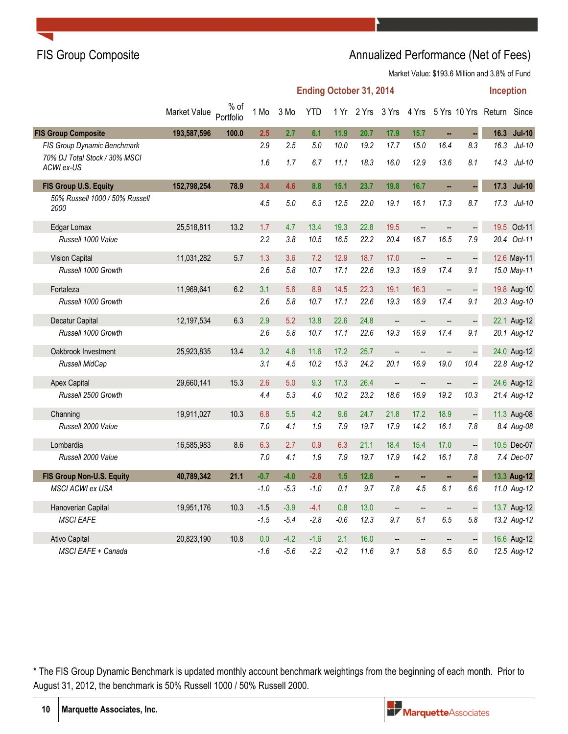## FIS Group Composite **Annualized Performance (Net of Fees)** Annualized Performance (Net of Fees)

Market Value: \$193.6 Million and 3.8% of Fund

|                                             |              |                     |        |        | <b>Ending October 31, 2014</b> |        |                  |                          |                          |                          |                          | <b>Inception</b>                |               |
|---------------------------------------------|--------------|---------------------|--------|--------|--------------------------------|--------|------------------|--------------------------|--------------------------|--------------------------|--------------------------|---------------------------------|---------------|
|                                             | Market Value | $%$ of<br>Portfolio | 1 Mo   | 3 Mo   | <b>YTD</b>                     |        | 1 Yr 2 Yrs 3 Yrs |                          |                          |                          |                          | 4 Yrs 5 Yrs 10 Yrs Return Since |               |
| <b>FIS Group Composite</b>                  | 193,587,596  | 100.0               | 2.5    | 2.7    | 6.1                            | 11.9   | 20.7             | 17.9                     | 15.7                     | н,                       | 4                        | 16.3                            | <b>Jul-10</b> |
| FIS Group Dynamic Benchmark                 |              |                     | 2.9    | 2.5    | 5.0                            | 10.0   | 19.2             | 17.7                     | 15.0                     | 16.4                     | 8.3                      | 16.3                            | $Jul-10$      |
| 70% DJ Total Stock / 30% MSCI<br>ACWI ex-US |              |                     | 1.6    | 1.7    | 6.7                            | 11.1   | 18.3             | 16.0                     | 12.9                     | 13.6                     | 8.1                      | 14.3                            | $Jul-10$      |
| FIS Group U.S. Equity                       | 152,798,254  | 78.9                | 3.4    | 4.6    | 8.8                            | 15.1   | 23.7             | 19.8                     | 16.7                     | ä.                       | u,                       |                                 | 17.3 Jul-10   |
| 50% Russell 1000 / 50% Russell<br>2000      |              |                     | 4.5    | 5.0    | 6.3                            | 12.5   | 22.0             | 19.1                     | 16.1                     | 17.3                     | 8.7                      | 17.3                            | $Jul-10$      |
| Edgar Lomax                                 | 25,518,811   | 13.2                | 1.7    | 4.7    | 13.4                           | 19.3   | 22.8             | 19.5                     | $\overline{\phantom{a}}$ | --                       |                          |                                 | 19.5 Oct-11   |
| Russell 1000 Value                          |              |                     | 2.2    | 3.8    | 10.5                           | 16.5   | 22.2             | 20.4                     | 16.7                     | 16.5                     | 7.9                      |                                 | 20.4 Oct-11   |
| <b>Vision Capital</b>                       | 11,031,282   | 5.7                 | 1.3    | 3.6    | 7.2                            | 12.9   | 18.7             | 17.0                     | $\overline{\phantom{a}}$ | --                       | $\mathbb{L}$             |                                 | 12.6 May-11   |
| Russell 1000 Growth                         |              |                     | 2.6    | 5.8    | 10.7                           | 17.1   | 22.6             | 19.3                     | 16.9                     | 17.4                     | 9.1                      |                                 | 15.0 May-11   |
| Fortaleza                                   | 11,969,641   | 6.2                 | 3.1    | 5.6    | 8.9                            | 14.5   | 22.3             | 19.1                     | 16.3                     | $\overline{\phantom{a}}$ | $\overline{\phantom{a}}$ |                                 | 19.8 Aug-10   |
| Russell 1000 Growth                         |              |                     | 2.6    | 5.8    | 10.7                           | 17.1   | 22.6             | 19.3                     | 16.9                     | 17.4                     | 9.1                      |                                 | 20.3 Aug-10   |
| Decatur Capital                             | 12,197,534   | 6.3                 | 2.9    | 5.2    | 13.8                           | 22.6   | 24.8             | $\overline{\phantom{a}}$ | --                       | --                       | $\mathbb{L}$             |                                 | 22.1 Aug-12   |
| Russell 1000 Growth                         |              |                     | 2.6    | 5.8    | 10.7                           | 17.1   | 22.6             | 19.3                     | 16.9                     | 17.4                     | 9.1                      |                                 | 20.1 Aug-12   |
| Oakbrook Investment                         | 25,923,835   | 13.4                | 3.2    | 4.6    | 11.6                           | 17.2   | 25.7             | $\overline{\phantom{a}}$ | --                       | --                       | $\frac{1}{2}$            |                                 | 24.0 Aug-12   |
| Russell MidCap                              |              |                     | 3.1    | 4.5    | 10.2                           | 15.3   | 24.2             | 20.1                     | 16.9                     | 19.0                     | 10.4                     |                                 | 22.8 Aug-12   |
| <b>Apex Capital</b>                         | 29,660,141   | 15.3                | 2.6    | 5.0    | 9.3                            | 17.3   | 26.4             | $\overline{\phantom{a}}$ | $\overline{\phantom{a}}$ | $\overline{\phantom{a}}$ | $\mathbb{H}$             |                                 | 24.6 Aug-12   |
| Russell 2500 Growth                         |              |                     | 4.4    | 5.3    | 4.0                            | 10.2   | 23.2             | 18.6                     | 16.9                     | 19.2                     | 10.3                     |                                 | 21.4 Aug-12   |
| Channing                                    | 19,911,027   | 10.3                | 6.8    | 5.5    | 4.2                            | 9.6    | 24.7             | 21.8                     | 17.2                     | 18.9                     | $\Box$                   |                                 | 11.3 Aug-08   |
| Russell 2000 Value                          |              |                     | 7.0    | 4.1    | 1.9                            | 7.9    | 19.7             | 17.9                     | 14.2                     | 16.1                     | 7.8                      |                                 | 8.4 Aug-08    |
| Lombardia                                   | 16,585,983   | 8.6                 | 6.3    | 2.7    | 0.9                            | 6.3    | 21.1             | 18.4                     | 15.4                     | 17.0                     | $\ddot{\phantom{0}}$     |                                 | 10.5 Dec-07   |
| Russell 2000 Value                          |              |                     | 7.0    | 4.1    | 1.9                            | 7.9    | 19.7             | 17.9                     | 14.2                     | 16.1                     | 7.8                      |                                 | 7.4 Dec-07    |
| FIS Group Non-U.S. Equity                   | 40,789,342   | 21.1                | $-0.7$ | $-4.0$ | $-2.8$                         | 1.5    | 12.6             | ш,                       | н.                       | н,                       |                          |                                 | 13.3 Aug-12   |
| MSCI ACWI ex USA                            |              |                     | -1.0   | $-5.3$ | $-1.0$                         | 0.1    | 9.7              | 7.8                      | 4.5                      | 6.1                      | 6.6                      |                                 | 11.0 Aug-12   |
| Hanoverian Capital                          | 19,951,176   | 10.3                | $-1.5$ | $-3.9$ | $-4.1$                         | 0.8    | 13.0             | $\overline{\phantom{a}}$ | u.                       | $\overline{\phantom{a}}$ | $\ddot{\phantom{0}}$     |                                 | 13.7 Aug-12   |
| <b>MSCI EAFE</b>                            |              |                     | $-1.5$ | $-5.4$ | $-2.8$                         | $-0.6$ | 12.3             | 9.7                      | 6.1                      | 6.5                      | 5.8                      |                                 | 13.2 Aug-12   |
| <b>Ativo Capital</b>                        | 20,823,190   | 10.8                | 0.0    | $-4.2$ | $-1.6$                         | 2.1    | 16.0             | $\overline{\phantom{a}}$ | --                       | $\overline{\phantom{a}}$ |                          |                                 | 16.6 Aug-12   |
| MSCI EAFE + Canada                          |              |                     | $-1.6$ | $-5.6$ | $-2.2$                         | $-0.2$ | 11.6             | 9.1                      | 5.8                      | 6.5                      | 6.0                      |                                 | 12.5 Aug-12   |

\* The FIS Group Dynamic Benchmark is updated monthly account benchmark weightings from the beginning of each month. Prior to August 31, 2012, the benchmark is 50% Russell 1000 / 50% Russell 2000.

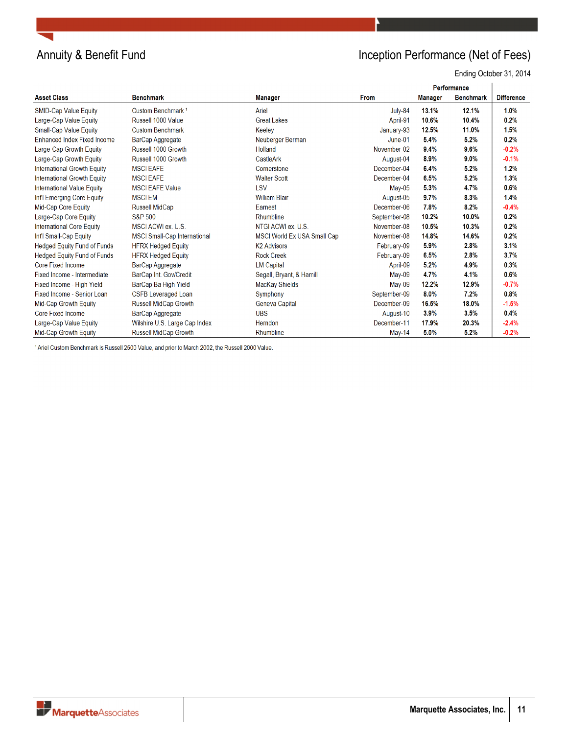

# Annuity & Benefit Fund **Inception Performance (Net of Fees)**

Ending October 31, 2014

| Performance                        |                               |                                    |               |                |                  |                   |
|------------------------------------|-------------------------------|------------------------------------|---------------|----------------|------------------|-------------------|
| <b>Asset Class</b>                 | <b>Benchmark</b>              | Manager                            | <b>From</b>   | <b>Manager</b> | <b>Benchmark</b> | <b>Difference</b> |
| <b>SMID-Cap Value Equity</b>       | Custom Benchmark <sup>1</sup> | Ariel                              | July-84       | 13.1%          | 12.1%            | 1.0%              |
| Large-Cap Value Equity             | Russell 1000 Value            | <b>Great Lakes</b>                 | April-91      | 10.6%          | 10.4%            | 0.2%              |
| <b>Small-Cap Value Equity</b>      | <b>Custom Benchmark</b>       | Keeley                             | January-93    | 12.5%          | 11.0%            | 1.5%              |
| Enhanced Index Fixed Income        | BarCap Aggregate              | Neuberger Berman                   | June-01       | 5.4%           | 5.2%             | 0.2%              |
| Large-Cap Growth Equity            | Russell 1000 Growth           | Holland                            | November-02   | 9.4%           | 9.6%             | $-0.2%$           |
| Large-Cap Growth Equity            | Russell 1000 Growth           | CastleArk                          | August-04     | 8.9%           | $9.0\%$          | $-0.1%$           |
| International Growth Equity        | <b>MSCI EAFE</b>              | Cornerstone                        | December-04   | 6.4%           | 5.2%             | 1.2%              |
| International Growth Equity        | <b>MSCIEAFE</b>               | <b>Walter Scott</b>                | December-04   | 6.5%           | 5.2%             | 1.3%              |
| <b>International Value Equity</b>  | <b>MSCI EAFE Value</b>        | LSV                                | $Mav-05$      | 5.3%           | 4.7%             | 0.6%              |
| Int'l Emerging Core Equity         | <b>MSCIEM</b>                 | <b>William Blair</b>               | August-05     | 9.7%           | 8.3%             | 1.4%              |
| Mid-Cap Core Equity                | <b>Russell MidCap</b>         | Earnest                            | December-06   | 7.8%           | 8.2%             | $-0.4%$           |
| Large-Cap Core Equity              | S&P 500                       | Rhumbline                          | September-08  | 10.2%          | 10.0%            | 0.2%              |
| International Core Equity          | MSCI ACWI ex. U.S.            | NTGI ACWI ex. U.S.                 | November-08   | 10.5%          | 10.3%            | 0.2%              |
| Int'l Small-Cap Equity             | MSCI Small-Cap International  | <b>MSCI World Ex USA Small Cap</b> | November-08   | 14.8%          | 14.6%            | 0.2%              |
| <b>Hedged Equity Fund of Funds</b> | <b>HFRX Hedged Equity</b>     | <b>K2 Advisors</b>                 | February-09   | 5.9%           | 2.8%             | 3.1%              |
| <b>Hedged Equity Fund of Funds</b> | <b>HFRX Hedged Equity</b>     | <b>Rock Creek</b>                  | February-09   | 6.5%           | 2.8%             | 3.7%              |
| Core Fixed Income                  | BarCap Aggregate              | <b>LM Capital</b>                  | April-09      | 5.2%           | 4.9%             | 0.3%              |
| Fixed Income - Intermediate        | BarCap Int. Gov/Credit        | Segall, Bryant, & Hamill           | $May-09$      | 4.7%           | 4.1%             | 0.6%              |
| Fixed Income - High Yield          | BarCap Ba High Yield          | MacKay Shields                     | $M$ ay-09     | 12.2%          | 12.9%            | $-0.7%$           |
| Fixed Income - Senior Loan         | <b>CSFB Leveraged Loan</b>    | Symphony                           | September-09  | 8.0%           | 7.2%             | 0.8%              |
| Mid-Cap Growth Equity              | Russell MidCap Growth         | Geneva Capital                     | December-09   | 16.5%          | 18.0%            | $-1.5%$           |
| <b>Core Fixed Income</b>           | BarCap Aggregate              | <b>UBS</b>                         | August-10     | 3.9%           | 3.5%             | 0.4%              |
| Large-Cap Value Equity             | Wilshire U.S. Large Cap Index | Herndon                            | December-11   | 17.9%          | 20.3%            | $-2.4%$           |
| Mid-Cap Growth Equity              | Russell MidCap Growth         | Rhumbline                          | <b>May-14</b> | 5.0%           | 5.2%             | $-0.2%$           |

<sup>1</sup> Ariel Custom Benchmark is Russell 2500 Value, and prior to March 2002, the Russell 2000 Value.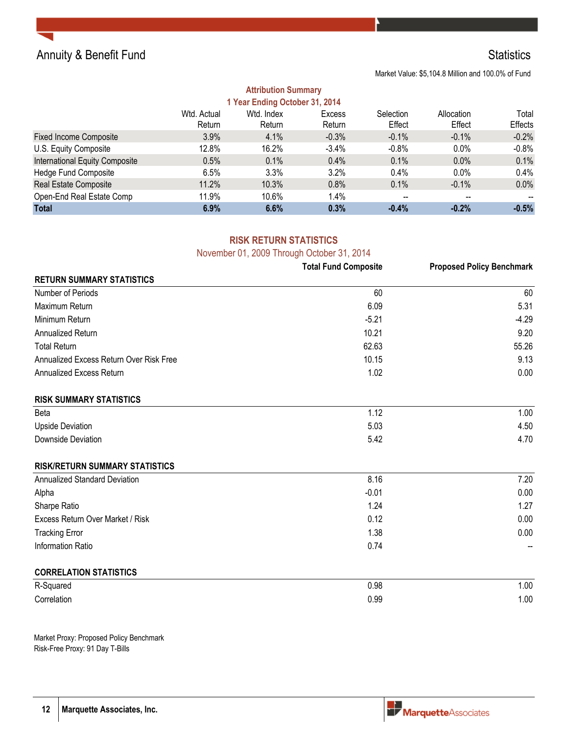

Market Value: \$5,104.8 Million and 100.0% of Fund

### **Attribution Summary 1 Year Ending October 31, 2014**

| I Teal Ending October 31, 2014 |                       |                      |                  |                          |                      |                  |
|--------------------------------|-----------------------|----------------------|------------------|--------------------------|----------------------|------------------|
|                                | Wtd. Actual<br>Return | Wtd. Index<br>Return | Excess<br>Return | Selection<br>Effect      | Allocation<br>Effect | Total<br>Effects |
|                                |                       |                      |                  |                          |                      |                  |
| <b>Fixed Income Composite</b>  | 3.9%                  | 4.1%                 | $-0.3%$          | $-0.1%$                  | $-0.1\%$             | $-0.2%$          |
| U.S. Equity Composite          | 12.8%                 | 16.2%                | $-3.4%$          | $-0.8%$                  | $0.0\%$              | $-0.8\%$         |
| International Equity Composite | 0.5%                  | 0.1%                 | 0.4%             | 0.1%                     | 0.0%                 | 0.1%             |
| <b>Hedge Fund Composite</b>    | 6.5%                  | 3.3%                 | 3.2%             | 0.4%                     | $0.0\%$              | $0.4\%$          |
| Real Estate Composite          | 11.2%                 | 10.3%                | 0.8%             | 0.1%                     | $-0.1\%$             | $0.0\%$          |
| Open-End Real Estate Comp      | 11.9%                 | 10.6%                | 1.4%             | $\overline{\phantom{a}}$ | --                   |                  |
| <b>Total</b>                   | 6.9%                  | 6.6%                 | 0.3%             | $-0.4%$                  | $-0.2%$              | $-0.5%$          |

# **RISK RETURN STATISTICS**

November 01, 2009 Through October 31, 2014

|                                         | <b>Total Fund Composite</b> | <b>Proposed Policy Benchmark</b> |
|-----------------------------------------|-----------------------------|----------------------------------|
| <b>RETURN SUMMARY STATISTICS</b>        |                             |                                  |
| Number of Periods                       | 60                          | 60                               |
| Maximum Return                          | 6.09                        | 5.31                             |
| Minimum Return                          | $-5.21$                     | $-4.29$                          |
| Annualized Return                       | 10.21                       | 9.20                             |
| <b>Total Return</b>                     | 62.63                       | 55.26                            |
| Annualized Excess Return Over Risk Free | 10.15                       | 9.13                             |
| Annualized Excess Return                | 1.02                        | 0.00                             |
| <b>RISK SUMMARY STATISTICS</b>          |                             |                                  |
| Beta                                    | 1.12                        | 1.00                             |
| <b>Upside Deviation</b>                 | 5.03                        | 4.50                             |
| Downside Deviation                      | 5.42                        | 4.70                             |
| <b>RISK/RETURN SUMMARY STATISTICS</b>   |                             |                                  |
| <b>Annualized Standard Deviation</b>    | 8.16                        | 7.20                             |
| Alpha                                   | $-0.01$                     | 0.00                             |
| Sharpe Ratio                            | 1.24                        | 1.27                             |
| Excess Return Over Market / Risk        | 0.12                        | 0.00                             |
| <b>Tracking Error</b>                   | 1.38                        | 0.00                             |
| <b>Information Ratio</b>                | 0.74                        |                                  |
| <b>CORRELATION STATISTICS</b>           |                             |                                  |
| R-Squared                               | 0.98                        | 1.00                             |
| Correlation                             | 0.99                        | 1.00                             |

Market Proxy: Proposed Policy Benchmark Risk-Free Proxy: 91 Day T-Bills